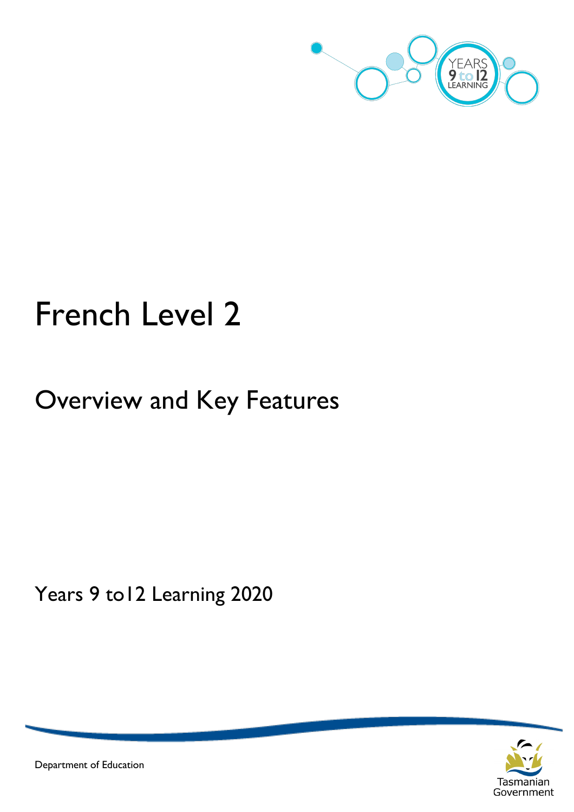

# French Level 2

# Overview and Key Features

Years 9 to12 Learning 2020



Department of Education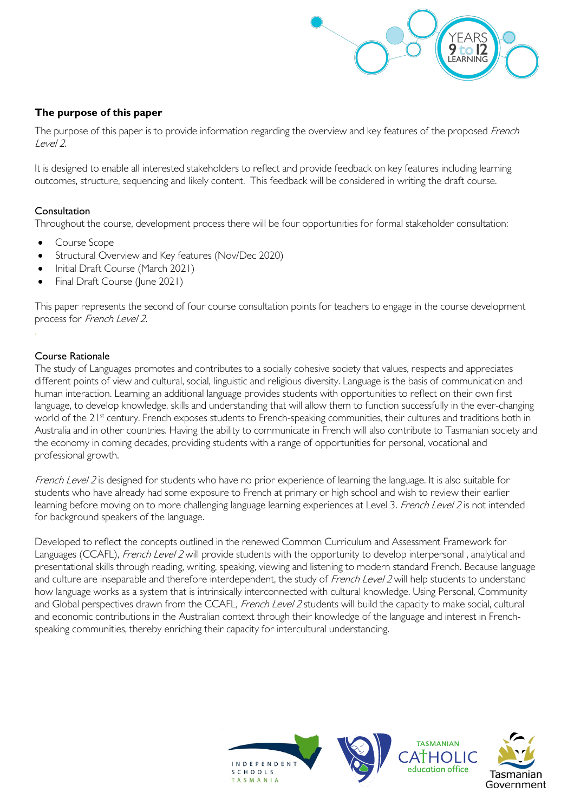

# **The purpose of this paper**

The purpose of this paper is to provide information regarding the overview and key features of the proposed French Level 2.

It is designed to enable all interested stakeholders to reflect and provide feedback on key features including learning outcomes, structure, sequencing and likely content. This feedback will be considered in writing the draft course.

# Consultation

Throughout the course, development process there will be four opportunities for formal stakeholder consultation:

- Course Scope
- Structural Overview and Key features (Nov/Dec 2020)
- Initial Draft Course (March 2021)
- Final Draft Course (June 2021)

This paper represents the second of four course consultation points for teachers to engage in the course development process for French Level 2.

# Course Rationale

The study of Languages promotes and contributes to a socially cohesive society that values, respects and appreciates different points of view and cultural, social, linguistic and religious diversity. Language is the basis of communication and human interaction. Learning an additional language provides students with opportunities to reflect on their own first language, to develop knowledge, skills and understanding that will allow them to function successfully in the ever-changing world of the 21<sup>st</sup> century. French exposes students to French-speaking communities, their cultures and traditions both in Australia and in other countries. Having the ability to communicate in French will also contribute to Tasmanian society and the economy in coming decades, providing students with a range of opportunities for personal, vocational and professional growth.

French Level 2 is designed for students who have no prior experience of learning the language. It is also suitable for students who have already had some exposure to French at primary or high school and wish to review their earlier learning before moving on to more challenging language learning experiences at Level 3. French Level 2 is not intended for background speakers of the language.

Developed to reflect the concepts outlined in the renewed Common Curriculum and Assessment Framework for Languages (CCAFL), French Level 2 will provide students with the opportunity to develop interpersonal, analytical and presentational skills through reading, writing, speaking, viewing and listening to modern standard French. Because language and culture are inseparable and therefore interdependent, the study of French Level 2 will help students to understand how language works as a system that is intrinsically interconnected with cultural knowledge. Using Personal, Community and Global perspectives drawn from the CCAFL, French Level 2 students will build the capacity to make social, cultural and economic contributions in the Australian context through their knowledge of the language and interest in Frenchspeaking communities, thereby enriching their capacity for intercultural understanding.

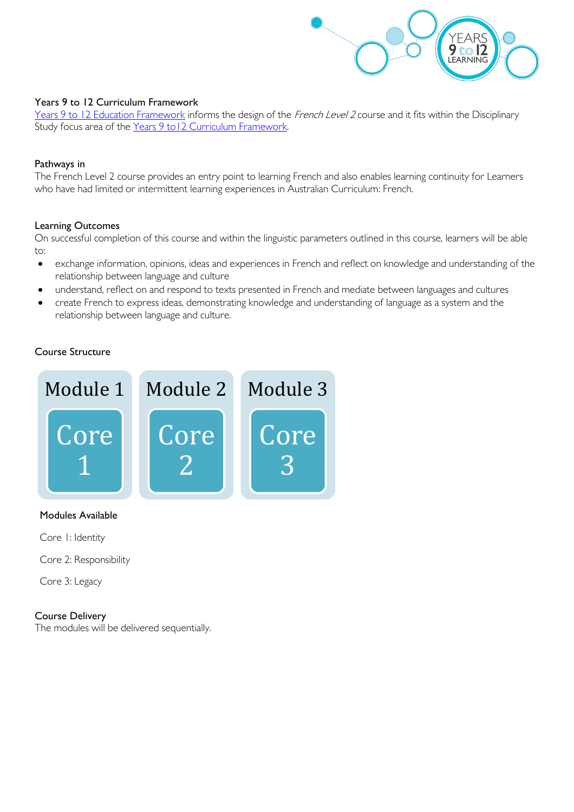

### Years 9 to 12 Curriculum Framework

[Years 9 to 12 Education Framework](https://publicdocumentcentre.education.tas.gov.au/library/Shared%20Documents/Years-9-to-12-Education-Framework.pdf) informs the design of the French Level 2 course and it fits within the Disciplinary Study focus area of the Years 9 to 12 Curriculum Framework.

#### Pathways in

The French Level 2 course provides an entry point to learning French and also enables learning continuity for Learners who have had limited or intermittent learning experiences in Australian Curriculum: French.

# Learning Outcomes

On successful completion of this course and within the linguistic parameters outlined in this course, learners will be able to:

- exchange information, opinions, ideas and experiences in French and reflect on knowledge and understanding of the relationship between language and culture
- understand, reflect on and respond to texts presented in French and mediate between languages and cultures
- create French to express ideas, demonstrating knowledge and understanding of language as a system and the relationship between language and culture.

# Course Structure



#### Modules Available

Core 1: Identity

Core 2: Responsibility

Core 3: Legacy

#### Course Delivery

The modules will be delivered sequentially.